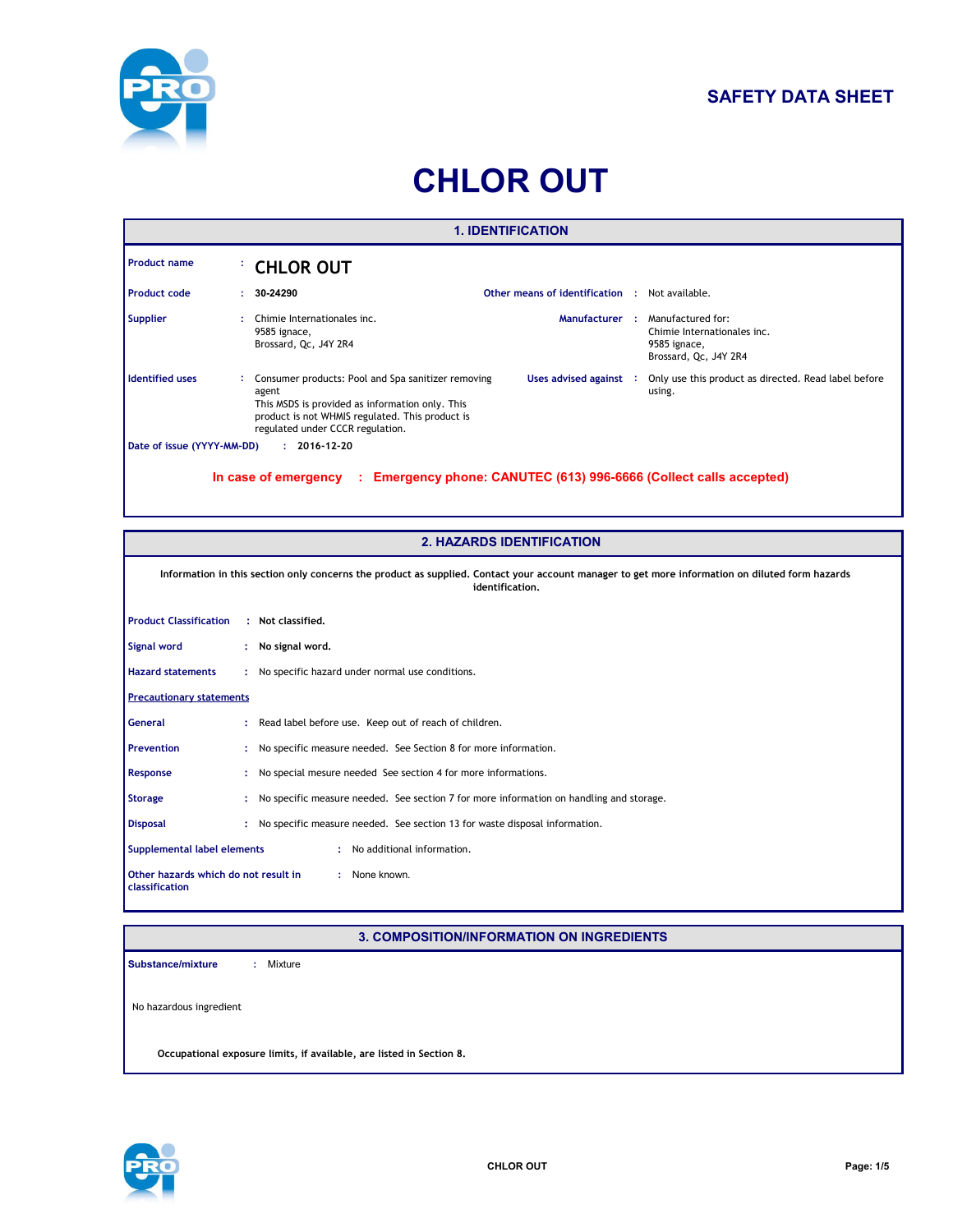

## **SAFETY DATA SHEET**

# **CHLOR OUT**

| <b>1. IDENTIFICATION</b>                                                                        |    |                                                                                                                                                                                                       |                                 |  |                                                                                           |
|-------------------------------------------------------------------------------------------------|----|-------------------------------------------------------------------------------------------------------------------------------------------------------------------------------------------------------|---------------------------------|--|-------------------------------------------------------------------------------------------|
| <b>Product name</b>                                                                             |    | <b>CHLOR OUT</b>                                                                                                                                                                                      |                                 |  |                                                                                           |
| <b>Product code</b>                                                                             | ÷. | 30-24290                                                                                                                                                                                              | Other means of identification : |  | Not available.                                                                            |
| <b>Supplier</b>                                                                                 |    | Chimie Internationales inc.<br>9585 ignace,<br>Brossard, Qc, J4Y 2R4                                                                                                                                  | Manufacturer :                  |  | Manufactured for:<br>Chimie Internationales inc.<br>9585 ignace,<br>Brossard, Qc, J4Y 2R4 |
| <b>Identified uses</b>                                                                          |    | Consumer products: Pool and Spa sanitizer removing<br>agent<br>This MSDS is provided as information only. This<br>product is not WHMIS regulated. This product is<br>regulated under CCCR regulation. | Uses advised against :          |  | Only use this product as directed. Read label before<br>using.                            |
| $: 2016 - 12 - 20$<br>Date of issue (YYYY-MM-DD)                                                |    |                                                                                                                                                                                                       |                                 |  |                                                                                           |
| Emergency phone: CANUTEC (613) 996-6666 (Collect calls accepted)<br>In case of emergency<br>-11 |    |                                                                                                                                                                                                       |                                 |  |                                                                                           |

| <b>2. HAZARDS IDENTIFICATION</b>                                                                                                                                   |   |                                                                                         |
|--------------------------------------------------------------------------------------------------------------------------------------------------------------------|---|-----------------------------------------------------------------------------------------|
| Information in this section only concerns the product as supplied. Contact your account manager to get more information on diluted form hazards<br>identification. |   |                                                                                         |
| <b>Product Classification</b>                                                                                                                                      |   | : Not classified.                                                                       |
| Signal word                                                                                                                                                        |   | : No signal word.                                                                       |
| <b>Hazard statements</b>                                                                                                                                           |   | : No specific hazard under normal use conditions.                                       |
| <b>Precautionary statements</b>                                                                                                                                    |   |                                                                                         |
| General                                                                                                                                                            |   | : Read label before use. Keep out of reach of children.                                 |
| <b>Prevention</b>                                                                                                                                                  |   | : No specific measure needed. See Section 8 for more information.                       |
| Response                                                                                                                                                           |   | : No special mesure needed See section 4 for more informations.                         |
| <b>Storage</b>                                                                                                                                                     | ÷ | No specific measure needed. See section 7 for more information on handling and storage. |
| <b>Disposal</b>                                                                                                                                                    |   | : No specific measure needed. See section 13 for waste disposal information.            |
| Supplemental label elements<br>: No additional information.                                                                                                        |   |                                                                                         |
| : None known.<br>Other hazards which do not result in<br>classification                                                                                            |   |                                                                                         |

#### **3. COMPOSITION/INFORMATION ON INGREDIENTS**

No hazardous ingredient **Substance/mixture :** : Mixture

**Occupational exposure limits, if available, are listed in Section 8.**

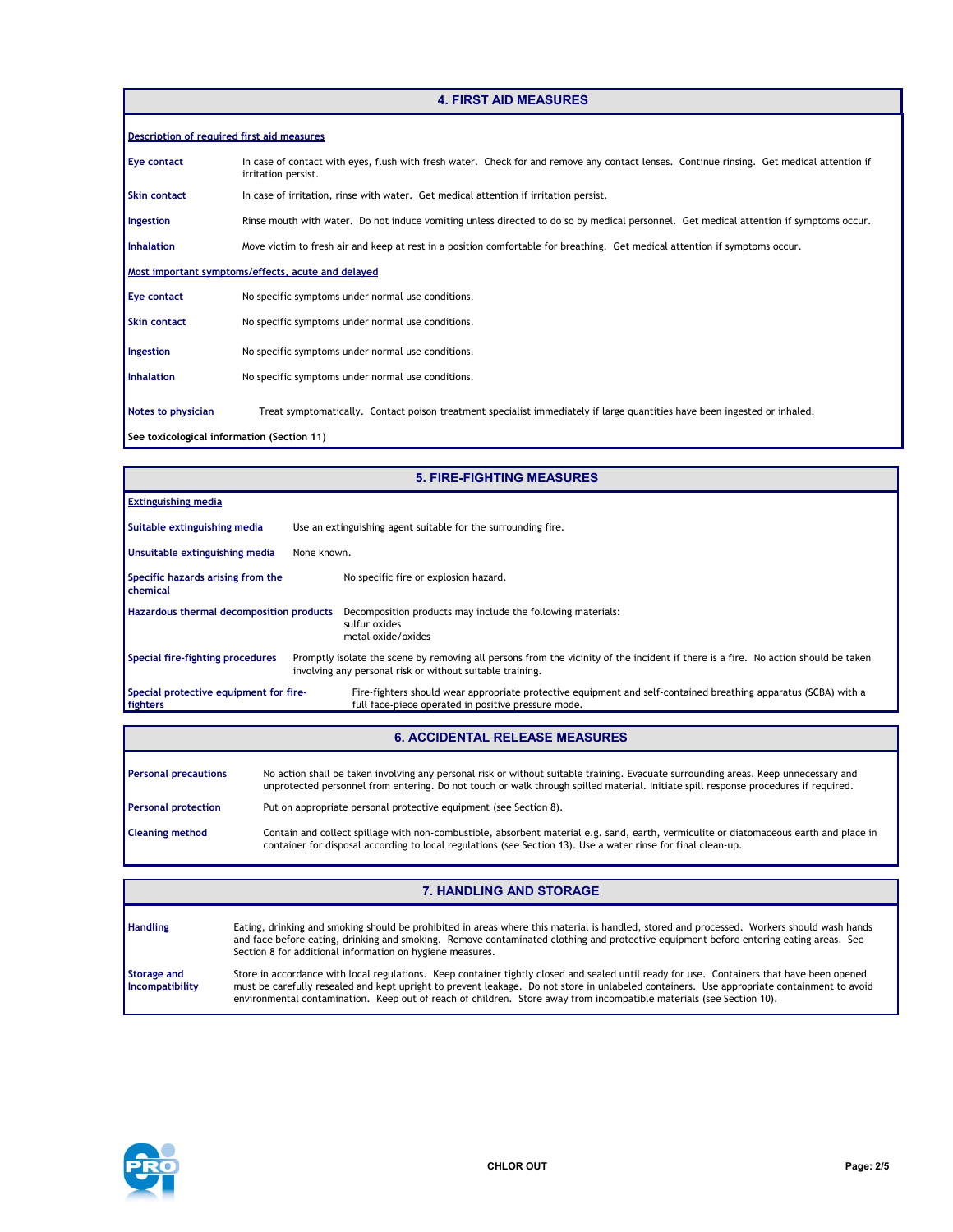#### **4. FIRST AID MEASURES**

| Description of required first aid measures         |                                                                                                                                                                  |  |  |  |
|----------------------------------------------------|------------------------------------------------------------------------------------------------------------------------------------------------------------------|--|--|--|
| Eye contact                                        | In case of contact with eyes, flush with fresh water. Check for and remove any contact lenses. Continue rinsing. Get medical attention if<br>irritation persist. |  |  |  |
| <b>Skin contact</b>                                | In case of irritation, rinse with water. Get medical attention if irritation persist.                                                                            |  |  |  |
| Ingestion                                          | Rinse mouth with water. Do not induce vomiting unless directed to do so by medical personnel. Get medical attention if symptoms occur.                           |  |  |  |
| <b>Inhalation</b>                                  | Move victim to fresh air and keep at rest in a position comfortable for breathing. Get medical attention if symptoms occur.                                      |  |  |  |
| Most important symptoms/effects, acute and delayed |                                                                                                                                                                  |  |  |  |
| Eye contact                                        | No specific symptoms under normal use conditions.                                                                                                                |  |  |  |
| <b>Skin contact</b>                                | No specific symptoms under normal use conditions.                                                                                                                |  |  |  |
| Ingestion                                          | No specific symptoms under normal use conditions.                                                                                                                |  |  |  |
| <b>Inhalation</b>                                  | No specific symptoms under normal use conditions.                                                                                                                |  |  |  |
| Notes to physician                                 | Treat symptomatically. Contact poison treatment specialist immediately if large quantities have been ingested or inhaled.                                        |  |  |  |
| See toxicological information (Section 11)         |                                                                                                                                                                  |  |  |  |

| <b>5. FIRE-FIGHTING MEASURES</b>                   |                                                                                                                                                                                                 |  |
|----------------------------------------------------|-------------------------------------------------------------------------------------------------------------------------------------------------------------------------------------------------|--|
| <b>Extinguishing media</b>                         |                                                                                                                                                                                                 |  |
| Suitable extinguishing media                       | Use an extinguishing agent suitable for the surrounding fire.                                                                                                                                   |  |
| Unsuitable extinguishing media                     | None known.                                                                                                                                                                                     |  |
| Specific hazards arising from the<br>chemical      | No specific fire or explosion hazard.                                                                                                                                                           |  |
| Hazardous thermal decomposition products           | Decomposition products may include the following materials:<br>sulfur oxides<br>metal oxide/oxides                                                                                              |  |
| Special fire-fighting procedures                   | Promptly isolate the scene by removing all persons from the vicinity of the incident if there is a fire. No action should be taken<br>involving any personal risk or without suitable training. |  |
| Special protective equipment for fire-<br>fighters | Fire-fighters should wear appropriate protective equipment and self-contained breathing apparatus (SCBA) with a<br>full face-piece operated in positive pressure mode.                          |  |

### **6. ACCIDENTAL RELEASE MEASURES**

| <b>Personal precautions</b> | No action shall be taken involving any personal risk or without suitable training. Evacuate surrounding areas. Keep unnecessary and<br>unprotected personnel from entering. Do not touch or walk through spilled material. Initiate spill response procedures if required. |
|-----------------------------|----------------------------------------------------------------------------------------------------------------------------------------------------------------------------------------------------------------------------------------------------------------------------|
| <b>Personal protection</b>  | Put on appropriate personal protective equipment (see Section 8).                                                                                                                                                                                                          |
| <b>Cleaning method</b>      | Contain and collect spillage with non-combustible, absorbent material e.g. sand, earth, vermiculite or diatomaceous earth and place in<br>container for disposal according to local regulations (see Section 13). Use a water rinse for final clean-up.                    |

| <b>Handling</b>                       | Eating, drinking and smoking should be prohibited in areas where this material is handled, stored and processed. Workers should wash hands<br>and face before eating, drinking and smoking. Remove contaminated clothing and protective equipment before entering eating areas. See<br>Section 8 for additional information on hygiene measures.                                                                 |
|---------------------------------------|------------------------------------------------------------------------------------------------------------------------------------------------------------------------------------------------------------------------------------------------------------------------------------------------------------------------------------------------------------------------------------------------------------------|
| <b>Storage and</b><br>Incompatibility | Store in accordance with local regulations. Keep container tightly closed and sealed until ready for use. Containers that have been opened<br>must be carefully resealed and kept upright to prevent leakage. Do not store in unlabeled containers. Use appropriate containment to avoid<br>environmental contamination. Keep out of reach of children. Store away from incompatible materials (see Section 10). |

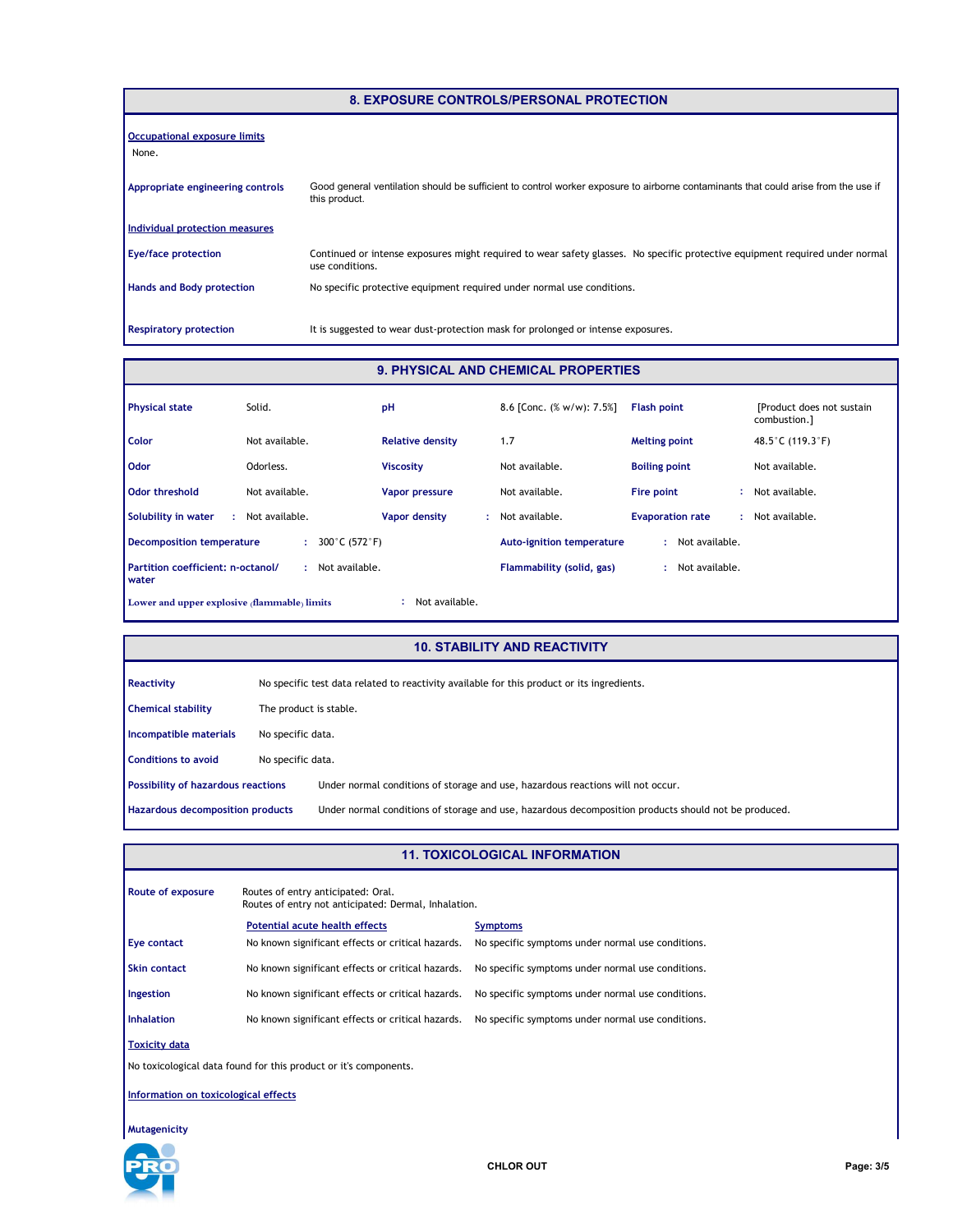|                                       | 8. EXPOSURE CONTROLS/PERSONAL PROTECTION                                                                                                            |
|---------------------------------------|-----------------------------------------------------------------------------------------------------------------------------------------------------|
| Occupational exposure limits<br>None. |                                                                                                                                                     |
| Appropriate engineering controls      | Good general ventilation should be sufficient to control worker exposure to airborne contaminants that could arise from the use if<br>this product. |
| Individual protection measures        |                                                                                                                                                     |
| <b>Eye/face protection</b>            | Continued or intense exposures might required to wear safety glasses. No specific protective equipment required under normal<br>use conditions.     |
| <b>Hands and Body protection</b>      | No specific protective equipment required under normal use conditions.                                                                              |
| <b>Respiratory protection</b>         | It is suggested to wear dust-protection mask for prolonged or intense exposures.                                                                    |

#### **9. PHYSICAL AND CHEMICAL PROPERTIES**

| <b>Physical state</b>                                          | Solid.              | pH                      | 8.6 [Conc. $(\% w/w)$ : 7.5%]    | <b>Flash point</b>           | [Product does not sustain]<br>combustion.] |
|----------------------------------------------------------------|---------------------|-------------------------|----------------------------------|------------------------------|--------------------------------------------|
| Color                                                          | Not available.      | <b>Relative density</b> | 1.7                              | <b>Melting point</b>         | 48.5 °C (119.3 °F)                         |
| <b>Odor</b>                                                    | Odorless.           | <b>Viscosity</b>        | Not available.                   | <b>Boiling point</b>         | Not available.                             |
| <b>Odor threshold</b>                                          | Not available.      | Vapor pressure          | Not available.                   | Fire point<br>÷              | Not available.                             |
| Solubility in water                                            | Not available.      | Vapor density           | Not available.                   | <b>Evaporation rate</b><br>÷ | Not available.                             |
| <b>Decomposition temperature</b>                               | 300°C (572°F)<br>÷. |                         | <b>Auto-ignition temperature</b> | Not available.<br>÷.         |                                            |
| Partition coefficient: n-octanol/<br>water                     | Not available.      |                         | Flammability (solid, gas)        | Not available.<br>÷.         |                                            |
| Not available.<br>Lower and upper explosive (flammable) limits |                     |                         |                                  |                              |                                            |

#### **10. STABILITY AND REACTIVITY**

| Reactivity                         |                        | No specific test data related to reactivity available for this product or its ingredients.           |
|------------------------------------|------------------------|------------------------------------------------------------------------------------------------------|
| <b>Chemical stability</b>          | The product is stable. |                                                                                                      |
| Incompatible materials             | No specific data.      |                                                                                                      |
| <b>Conditions to avoid</b>         | No specific data.      |                                                                                                      |
| Possibility of hazardous reactions |                        | Under normal conditions of storage and use, hazardous reactions will not occur.                      |
| Hazardous decomposition products   |                        | Under normal conditions of storage and use, hazardous decomposition products should not be produced. |

#### **11. TOXICOLOGICAL INFORMATION**

| <b>Route of exposure</b>                                         | Routes of entry anticipated: Oral.<br>Routes of entry not anticipated: Dermal, Inhalation. |                                                   |  |
|------------------------------------------------------------------|--------------------------------------------------------------------------------------------|---------------------------------------------------|--|
|                                                                  | Potential acute health effects                                                             | <b>Symptoms</b>                                   |  |
| <b>Eye contact</b>                                               | No known significant effects or critical hazards.                                          | No specific symptoms under normal use conditions. |  |
| <b>Skin contact</b>                                              | No known significant effects or critical hazards.                                          | No specific symptoms under normal use conditions. |  |
| Ingestion                                                        | No known significant effects or critical hazards.                                          | No specific symptoms under normal use conditions. |  |
| <b>Inhalation</b>                                                | No known significant effects or critical hazards.                                          | No specific symptoms under normal use conditions. |  |
| <b>Toxicity data</b>                                             |                                                                                            |                                                   |  |
| No toxicological data found for this product or it's components. |                                                                                            |                                                   |  |
| Information on toxicological effects                             |                                                                                            |                                                   |  |

**Mutagenicity**

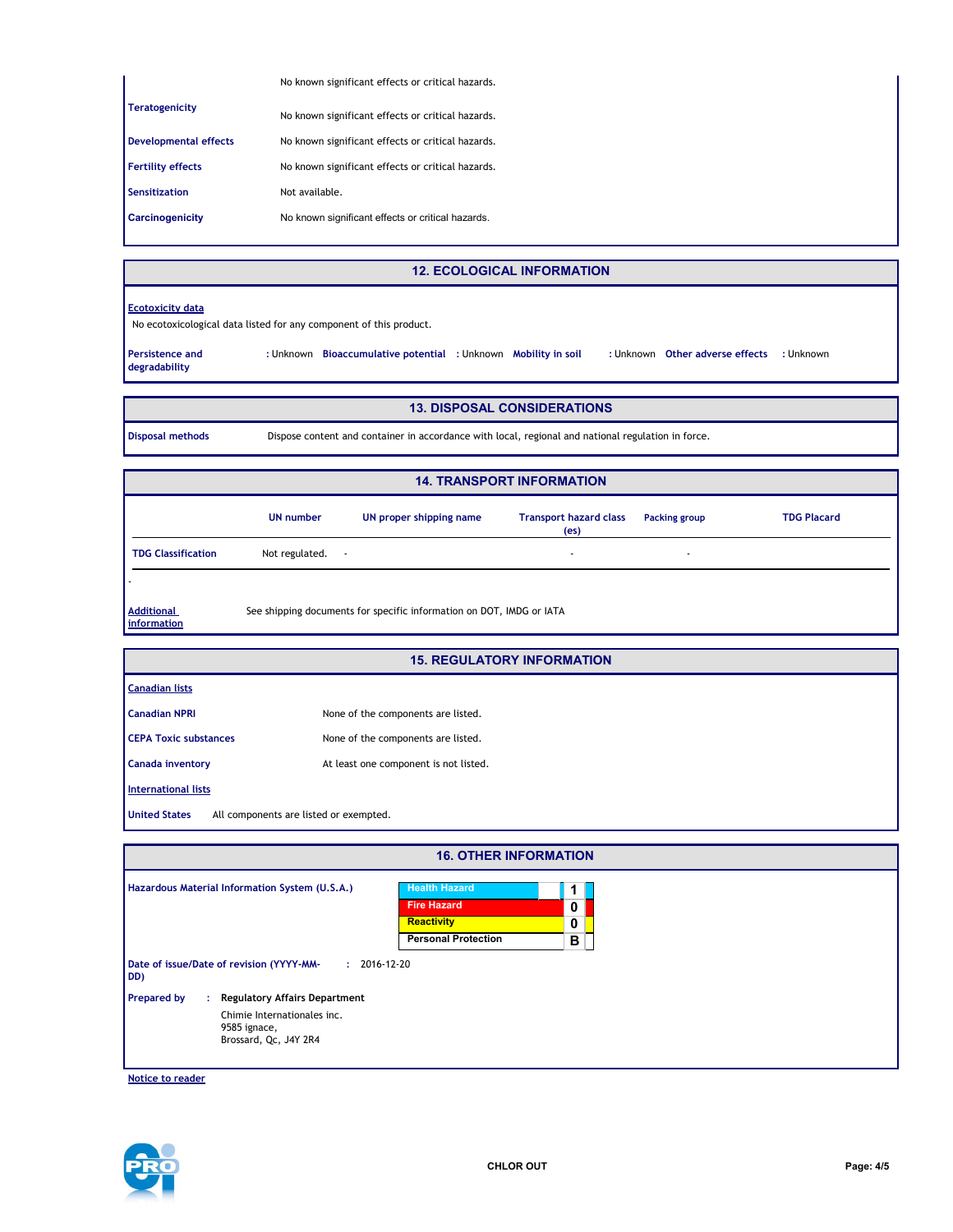|                              | No known significant effects or critical hazards. |
|------------------------------|---------------------------------------------------|
| <b>Teratogenicity</b>        | No known significant effects or critical hazards. |
| <b>Developmental effects</b> | No known significant effects or critical hazards. |
| <b>Fertility effects</b>     | No known significant effects or critical hazards. |
| <b>Sensitization</b>         | Not available.                                    |
| <b>Carcinogenicity</b>       | No known significant effects or critical hazards. |
|                              |                                                   |

**12. ECOLOGICAL INFORMATION**

#### **Ecotoxicity data**

No ecotoxicological data listed for any component of this product.

**Persistence and degradability**

: Unknown Other adverse effects : Unknown **Bioaccumulative potential Mobility in soil :** Unknown **:** Unknown **:** Unknown **:** Unknown

### **13. DISPOSAL CONSIDERATIONS**

**Disposal methods** Dispose content and container in accordance with local, regional and national regulation in force.

| <b>14. TRANSPORT INFORMATION</b> |                     |                                                                      |                                                    |                      |                    |  |  |  |
|----------------------------------|---------------------|----------------------------------------------------------------------|----------------------------------------------------|----------------------|--------------------|--|--|--|
|                                  | <b>UN number</b>    | UN proper shipping name                                              | <b>Transport hazard class</b><br>(e <sub>s</sub> ) | <b>Packing group</b> | <b>TDG Placard</b> |  |  |  |
| <b>TDG Classification</b>        | Not regulated.<br>٠ |                                                                      | $\overline{a}$                                     | ٠                    |                    |  |  |  |
|                                  |                     |                                                                      |                                                    |                      |                    |  |  |  |
| <b>Additional</b><br>information |                     | See shipping documents for specific information on DOT, IMDG or IATA |                                                    |                      |                    |  |  |  |

|                                                                | <b>15. REGULATORY INFORMATION</b>     |
|----------------------------------------------------------------|---------------------------------------|
| <b>Canadian lists</b>                                          |                                       |
| <b>Canadian NPRI</b>                                           | None of the components are listed.    |
| <b>CEPA Toxic substances</b>                                   | None of the components are listed.    |
| Canada inventory                                               | At least one component is not listed. |
| International lists                                            |                                       |
| <b>United States</b><br>All components are listed or exempted. |                                       |

| <b>16. OTHER INFORMATION</b>                    |                                      |                            |   |  |  |  |  |  |
|-------------------------------------------------|--------------------------------------|----------------------------|---|--|--|--|--|--|
| Hazardous Material Information System (U.S.A.)  |                                      | <b>Health Hazard</b>       |   |  |  |  |  |  |
|                                                 |                                      | <b>Fire Hazard</b>         | 0 |  |  |  |  |  |
|                                                 |                                      | <b>Reactivity</b>          | 0 |  |  |  |  |  |
|                                                 |                                      | <b>Personal Protection</b> | в |  |  |  |  |  |
| Date of issue/Date of revision (YYYY-MM-<br>DD) | $: 2016 - 12 - 20$                   |                            |   |  |  |  |  |  |
| <b>Prepared by</b><br>÷.                        | <b>Regulatory Affairs Department</b> |                            |   |  |  |  |  |  |
| Chimie Internationales inc.                     |                                      |                            |   |  |  |  |  |  |
| 9585 ignace,<br>Brossard, Qc, J4Y 2R4           |                                      |                            |   |  |  |  |  |  |
|                                                 |                                      |                            |   |  |  |  |  |  |

**Notice to reader**